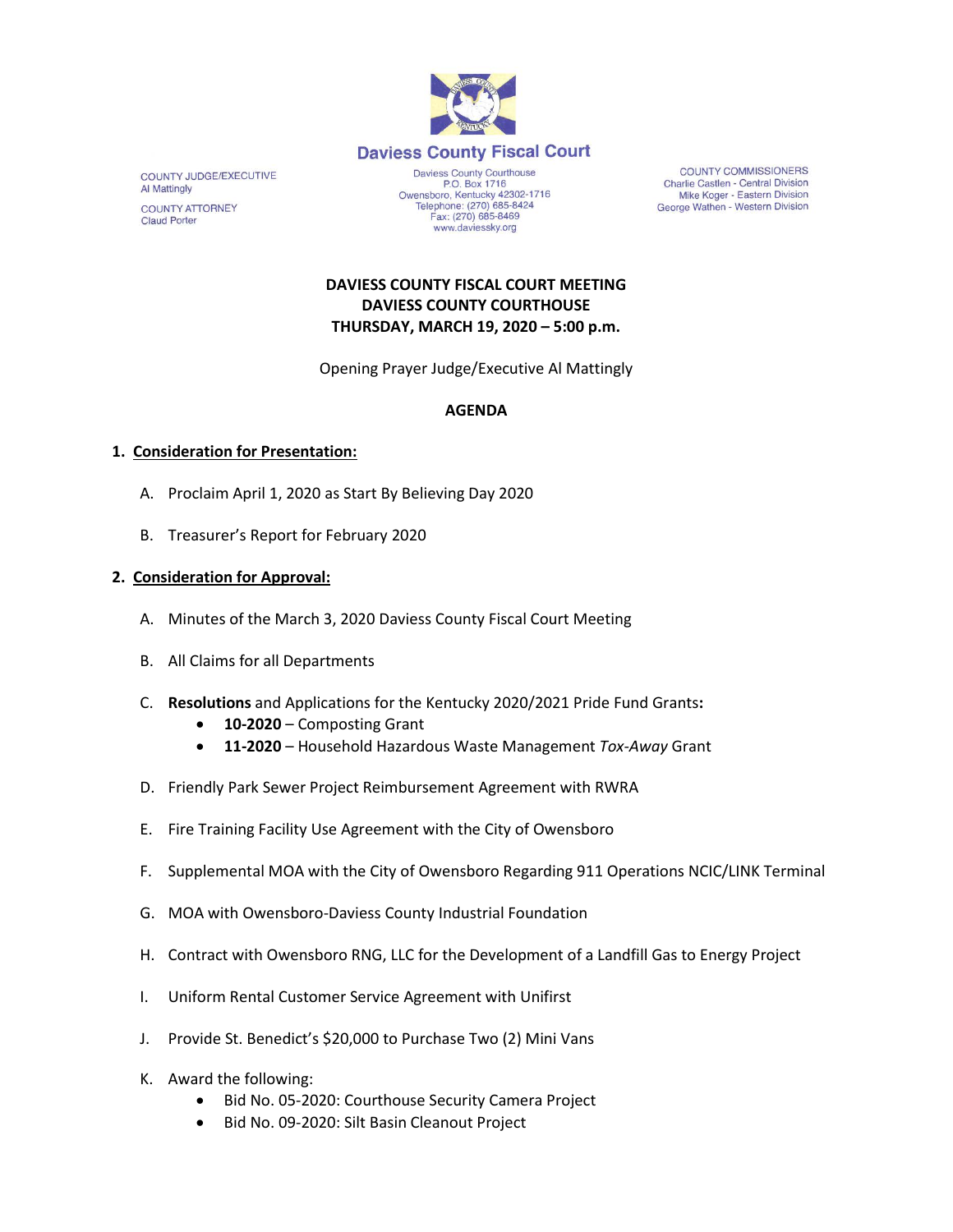

COUNTY JUDGE/EXECUTIVE **Al Mattingly COUNTY ATTORNEY Claud Porter** 

Daviess County Courthouse P.O. Box 1716 P.O. Box 1716<br>Owensboro, Kentucky 42302-1716<br>Telephone: (270) 685-8424 Fax: (270) 685-8469 www.daviessky.org

**COUNTY COMMISSIONERS** Charlie Castlen - Central Division Mike Koger - Eastern Division George Wathen - Western Division

## **DAVIESS COUNTY FISCAL COURT MEETING DAVIESS COUNTY COURTHOUSE THURSDAY, MARCH 19, 2020 – 5:00 p.m.**

Opening Prayer Judge/Executive Al Mattingly

### **AGENDA**

### **1. Consideration for Presentation:**

- A. Proclaim April 1, 2020 as Start By Believing Day 2020
- B. Treasurer's Report for February 2020

#### **2. Consideration for Approval:**

- A. Minutes of the March 3, 2020 Daviess County Fiscal Court Meeting
- B. All Claims for all Departments
- C. **Resolutions** and Applications for the Kentucky 2020/2021 Pride Fund Grants**:**
	- **10-2020**  Composting Grant
	- **11-2020**  Household Hazardous Waste Management *Tox-Away* Grant
- D. Friendly Park Sewer Project Reimbursement Agreement with RWRA
- E. Fire Training Facility Use Agreement with the City of Owensboro
- F. Supplemental MOA with the City of Owensboro Regarding 911 Operations NCIC/LINK Terminal
- G. MOA with Owensboro-Daviess County Industrial Foundation
- H. Contract with Owensboro RNG, LLC for the Development of a Landfill Gas to Energy Project
- I. Uniform Rental Customer Service Agreement with Unifirst
- J. Provide St. Benedict's \$20,000 to Purchase Two (2) Mini Vans
- K. Award the following:
	- Bid No. 05-2020: Courthouse Security Camera Project
	- Bid No. 09-2020: Silt Basin Cleanout Project